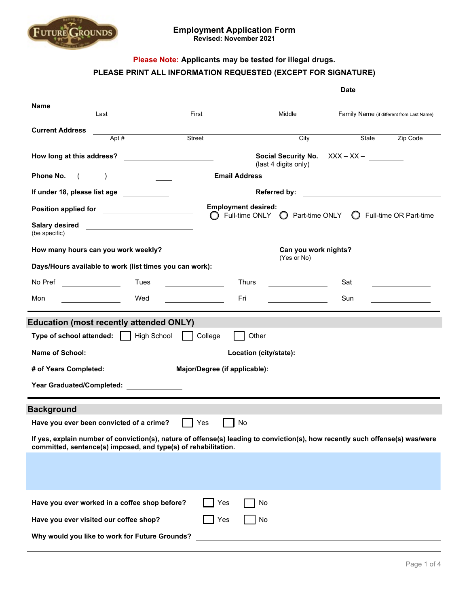

**Please Note: Applicants may be tested for illegal drugs.**

# **PLEASE PRINT ALL INFORMATION REQUESTED (EXCEPT FOR SIGNATURE)**

|                                                                                                                                                                                                 |                                                                                      |                                         | Date                                                                                                                         |  |  |  |  |
|-------------------------------------------------------------------------------------------------------------------------------------------------------------------------------------------------|--------------------------------------------------------------------------------------|-----------------------------------------|------------------------------------------------------------------------------------------------------------------------------|--|--|--|--|
| Name                                                                                                                                                                                            |                                                                                      |                                         |                                                                                                                              |  |  |  |  |
| Last                                                                                                                                                                                            | First                                                                                | Middle                                  | Family Name (if different from Last Name)                                                                                    |  |  |  |  |
| <b>Current Address</b>                                                                                                                                                                          |                                                                                      |                                         |                                                                                                                              |  |  |  |  |
| Apt $#$                                                                                                                                                                                         | Street                                                                               | City                                    | State Zip Code                                                                                                               |  |  |  |  |
|                                                                                                                                                                                                 | Social Security No. XXX - XX -<br>(last 4 digits only)                               |                                         |                                                                                                                              |  |  |  |  |
|                                                                                                                                                                                                 | <b>Email Address</b><br><u> 1989 - Johann John Stein, markin fizik eta idazlea (</u> |                                         |                                                                                                                              |  |  |  |  |
| If under 18, please list age                                                                                                                                                                    |                                                                                      |                                         |                                                                                                                              |  |  |  |  |
| Position applied for ________________________                                                                                                                                                   | <b>Employment desired:</b>                                                           |                                         |                                                                                                                              |  |  |  |  |
| <b>Salary desired</b><br>(be specific)                                                                                                                                                          | ( )                                                                                  |                                         | Full-time ONLY $\bigcirc$ Part-time ONLY $\bigcirc$ Full-time OR Part-time                                                   |  |  |  |  |
| How many hours can you work weekly?                                                                                                                                                             | <u> 1980 - Jan Samuel Barbara, poeta estable</u>                                     | Can you work nights?                    |                                                                                                                              |  |  |  |  |
| Days/Hours available to work (list times you can work):                                                                                                                                         |                                                                                      | (Yes or No)                             |                                                                                                                              |  |  |  |  |
| Tues                                                                                                                                                                                            | Thurs                                                                                |                                         | Sat<br><u> a shekara ta 1999 a shekara ta 1991 a shekara ta 1991 a shekara ta 1991 a shekara ta 1991 a shekara ta 1991 a</u> |  |  |  |  |
| Wed<br>Mon                                                                                                                                                                                      | Fri                                                                                  | <u> 1990 - Johann Barbara, martin a</u> | Sun                                                                                                                          |  |  |  |  |
|                                                                                                                                                                                                 |                                                                                      |                                         |                                                                                                                              |  |  |  |  |
| <b>Education (most recently attended ONLY)</b><br>Type of school attended:     High School                                                                                                      | College                                                                              |                                         |                                                                                                                              |  |  |  |  |
| Name of School:                                                                                                                                                                                 |                                                                                      |                                         |                                                                                                                              |  |  |  |  |
|                                                                                                                                                                                                 |                                                                                      |                                         |                                                                                                                              |  |  |  |  |
|                                                                                                                                                                                                 |                                                                                      |                                         |                                                                                                                              |  |  |  |  |
| Year Graduated/Completed: _____________                                                                                                                                                         |                                                                                      |                                         |                                                                                                                              |  |  |  |  |
| <b>Background</b>                                                                                                                                                                               |                                                                                      |                                         |                                                                                                                              |  |  |  |  |
| Have you ever been convicted of a crime?                                                                                                                                                        | Yes<br>No                                                                            |                                         |                                                                                                                              |  |  |  |  |
| If yes, explain number of conviction(s), nature of offense(s) leading to conviction(s), how recently such offense(s) was/were<br>committed, sentence(s) imposed, and type(s) of rehabilitation. |                                                                                      |                                         |                                                                                                                              |  |  |  |  |
|                                                                                                                                                                                                 |                                                                                      |                                         |                                                                                                                              |  |  |  |  |
|                                                                                                                                                                                                 |                                                                                      |                                         |                                                                                                                              |  |  |  |  |
|                                                                                                                                                                                                 |                                                                                      |                                         |                                                                                                                              |  |  |  |  |
| Have you ever worked in a coffee shop before?                                                                                                                                                   | Yes<br>No                                                                            |                                         |                                                                                                                              |  |  |  |  |
| Have you ever visited our coffee shop?                                                                                                                                                          | Yes<br>No                                                                            |                                         |                                                                                                                              |  |  |  |  |
| Why would you like to work for Future Grounds?                                                                                                                                                  |                                                                                      |                                         |                                                                                                                              |  |  |  |  |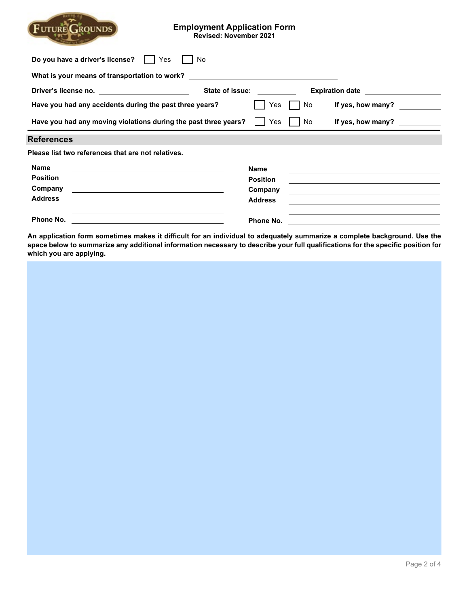

## **Employment Application Form Revised: November 2021**

| Do you have a driver's license?                                 | Yes<br>No.      |                 |                        |  |
|-----------------------------------------------------------------|-----------------|-----------------|------------------------|--|
| What is your means of transportation to work?                   |                 |                 |                        |  |
| Driver's license no.                                            | State of issue: |                 | <b>Expiration date</b> |  |
| Have you had any accidents during the past three years?         |                 | No<br>Yes       | If yes, how many?      |  |
| Have you had any moving violations during the past three years? |                 | Yes<br>No       | If yes, how many?      |  |
| <b>References</b>                                               |                 |                 |                        |  |
| Please list two references that are not relatives.              |                 |                 |                        |  |
| <b>Name</b>                                                     | <b>Name</b>     |                 |                        |  |
| <b>Position</b>                                                 |                 | <b>Position</b> |                        |  |
| Company                                                         |                 | Company         |                        |  |
| <b>Address</b>                                                  |                 | <b>Address</b>  |                        |  |
|                                                                 |                 |                 |                        |  |
| Phone No.                                                       |                 | Phone No.       |                        |  |

**An application form sometimes makes it difficult for an individual to adequately summarize a complete background. Use the space below to summarize any additional information necessary to describe your full qualifications for the specific position for which you are applying.**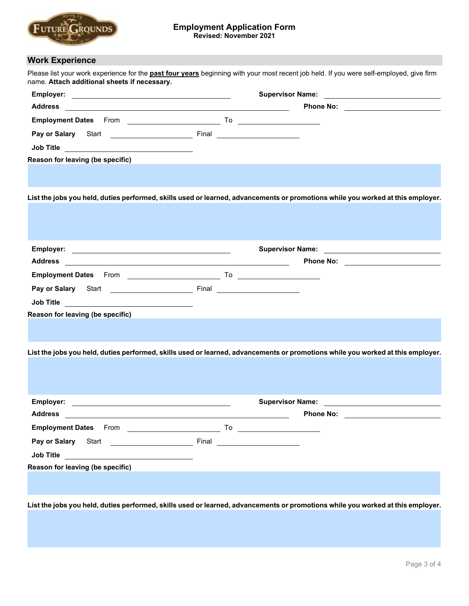

# **Work Experience**

Please list your work experience for the **past four years** beginning with your most recent job held. If you were self-employed, give firm name. **Attach additional sheets if necessary. Employer: Supervisor Name: Address Phone No: Employment Dates** From To **Pay or Salary** Start **Final Job Title Reason for leaving (be specific) List the jobs you held, duties performed, skills used or learned, advancements or promotions while you worked at this employer. Employer: Supervisor Name: Address Phone No: Employment Dates** From To To **Pay or Salary** Start **Final** Start **Final** Final **Job Title Reason for leaving (be specific) List the jobs you held, duties performed, skills used or learned, advancements or promotions while you worked at this employer.** Employer: **With a Community Community** Community Community Community Community Community Community Community Community Community Community Community Community Community Community Community Community Community Community Com **Address Phone No: Phone No: Phone No: Phone No: Phone No: Phone No: Phone No: Phone No: Phone No: Phone No: Phone No: Phone No: Phone No: Phone No: Phone No: Phone No: Phone No: Phone N Employment Dates** From To **Pay or Salary** Start **Final** Start **Final Job Title Reason for leaving (be specific) List the jobs you held, duties performed, skills used or learned, advancements or promotions while you worked at this employer.**